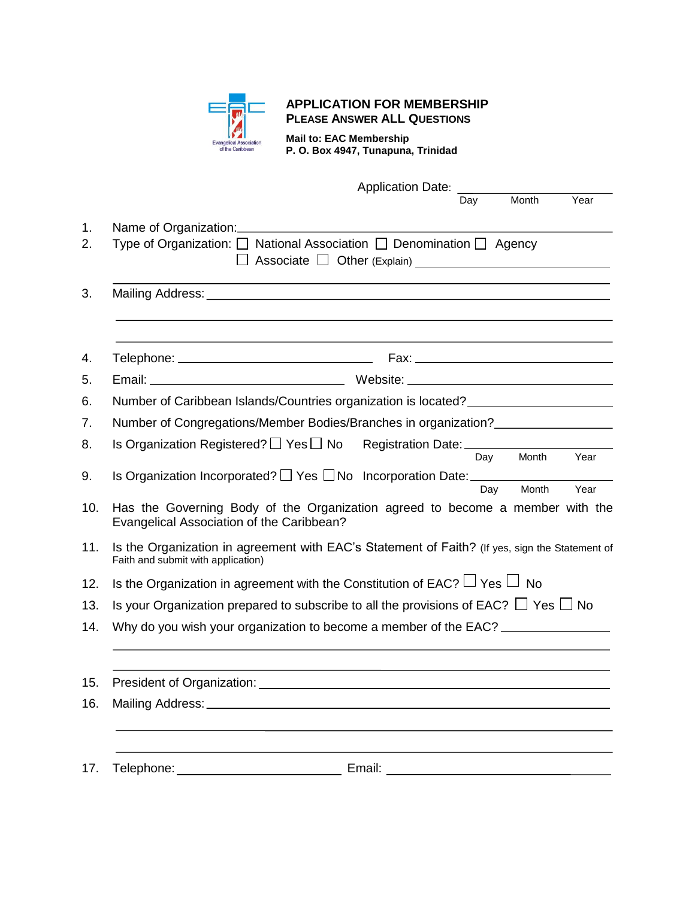

## **APPLICATION FOR MEMBERSHIP PLEASE ANSWER ALL QUESTIONS**

**Mail to: EAC Membership P. O. Box 4947, Tunapuna, Trinidad**

|                                                                 | <b>Application Date:</b>                                                                                                             |  |  |  |
|-----------------------------------------------------------------|--------------------------------------------------------------------------------------------------------------------------------------|--|--|--|
|                                                                 | Month<br>Year<br>Day                                                                                                                 |  |  |  |
|                                                                 | Name of Organization:                                                                                                                |  |  |  |
|                                                                 | Type of Organization: $\Box$ National Association $\Box$ Denomination $\Box$ Agency                                                  |  |  |  |
|                                                                 |                                                                                                                                      |  |  |  |
|                                                                 | Telephone: ___________________________________                                                                                       |  |  |  |
|                                                                 |                                                                                                                                      |  |  |  |
|                                                                 | Number of Caribbean Islands/Countries organization is located? _________________                                                     |  |  |  |
| Number of Congregations/Member Bodies/Branches in organization? |                                                                                                                                      |  |  |  |
|                                                                 | Is Organization Registered? $\Box$ Yes $\Box$ No Registration Date: ________________                                                 |  |  |  |
|                                                                 | Month<br>Year<br>Day<br>Is Organization Incorporated? □ Yes □ No Incorporation Date: _____________<br>Month<br>Day<br>Year           |  |  |  |
| 10.                                                             | Has the Governing Body of the Organization agreed to become a member with the<br>Evangelical Association of the Caribbean?           |  |  |  |
| 11.                                                             | Is the Organization in agreement with EAC's Statement of Faith? (If yes, sign the Statement of<br>Faith and submit with application) |  |  |  |
|                                                                 | Is the Organization in agreement with the Constitution of EAC? $\Box$ Yes $\Box$ No                                                  |  |  |  |
|                                                                 | Is your Organization prepared to subscribe to all the provisions of EAC? $\Box$ Yes $\Box$ No                                        |  |  |  |
|                                                                 | Why do you wish your organization to become a member of the EAC? _______________                                                     |  |  |  |
| 15.                                                             | President of Organization:                                                                                                           |  |  |  |
| 16.                                                             |                                                                                                                                      |  |  |  |
| 17.                                                             | Email:<br>Telephone:                                                                                                                 |  |  |  |